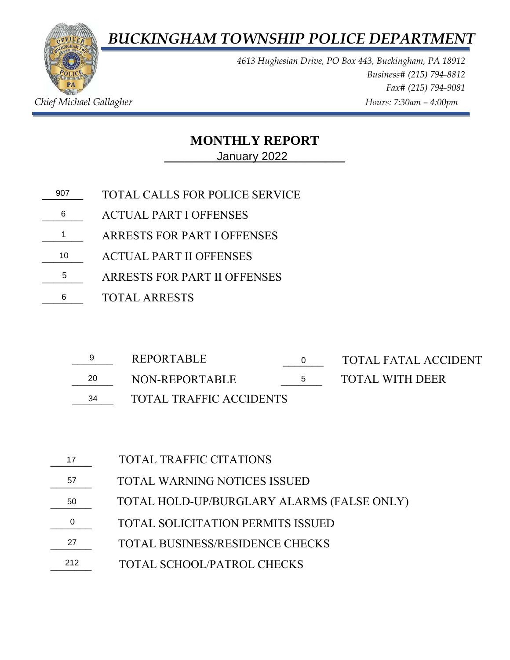*BUCKINGHAM TOWNSHIP POLICE DEPARTMENT*



*4613 Hughesian Drive, PO Box 443, Buckingham, PA 18912 Business# (215) 794-8812 Fax# (215) 794-9081 Chief Michael Gallagher Allagher Chief Michael Gallagher Hours: 7:30am – 4:00pm* 

## **MONTHLY REPORT**

**\_\_\_\_\_\_\_\_\_\_\_\_\_\_\_\_\_\_\_\_\_\_\_\_\_\_\_** January 2022

- **\_\_\_\_\_\_\_** TOTAL CALLS FOR POLICE SERVICE 9076
- \_\_\_\_\_\_\_ ACTUAL PART I OFFENSES
- \_\_\_\_\_\_\_ ARRESTS FOR PART I OFFENSES 1
- \_\_\_\_\_\_\_ ACTUAL PART II OFFENSES 105
- \_\_\_\_\_\_\_ ARRESTS FOR PART II OFFENSES
- \_\_\_\_\_\_\_ TOTAL ARRESTS 6

|    | REPORTABLE                     |        | TOTAL FATAL ACCIDENT |
|----|--------------------------------|--------|----------------------|
| 20 | NON-REPORTABLE                 | $\sim$ | TOTAL WITH DEER      |
| 34 | <b>TOTAL TRAFFIC ACCIDENTS</b> |        |                      |

- 
- \_\_\_\_\_\_\_ TOTAL TRAFFIC ACCIDENTS

TOTAL WARNING NOTICES ISSUED TOTAL HOLD-UP/BURGLARY ALARMS (FALSE ONLY) TOTAL SCHOOL/PATROL CHECKS TOTAL TRAFFIC CITATIONS **\_\_\_\_\_\_\_**  57 50  $\overline{0}$  $\frac{27}{2}$ \_\_\_\_\_\_\_ 212TOTAL SOLICITATION PERMITS ISSUED TOTAL BUSINESS/RESIDENCE CHECKS  $\begin{array}{c} 17 \\ 57 \\ 50 \\ 0 \end{array}$